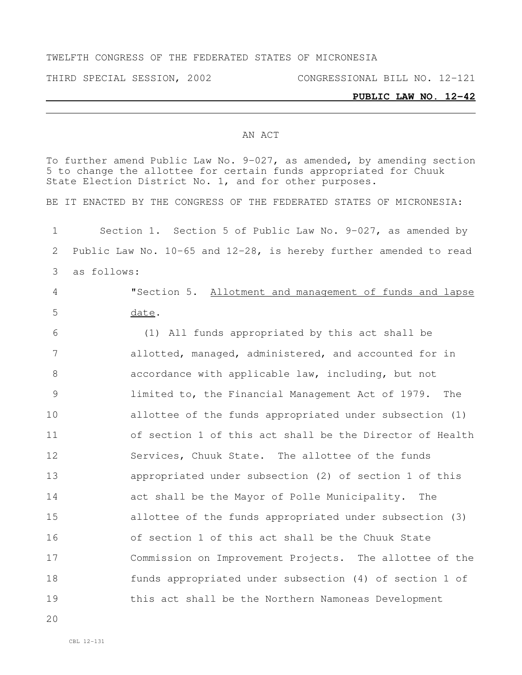## TWELFTH CONGRESS OF THE FEDERATED STATES OF MICRONESIA

THIRD SPECIAL SESSION, 2002 CONGRESSIONAL BILL NO. 12-121

## **PUBLIC LAW NO. 12-42**

## AN ACT

To further amend Public Law No. 9-027, as amended, by amending section to change the allottee for certain funds appropriated for Chuuk State Election District No. 1, and for other purposes. BE IT ENACTED BY THE CONGRESS OF THE FEDERATED STATES OF MICRONESIA: Section 1. Section 5 of Public Law No. 9-027, as amended by Public Law No. 10-65 and 12-28, is hereby further amended to read as follows: "Section 5. Allotment and management of funds and lapse date. (1) All funds appropriated by this act shall be allotted, managed, administered, and accounted for in accordance with applicable law, including, but not limited to, the Financial Management Act of 1979. The allottee of the funds appropriated under subsection (1) of section 1 of this act shall be the Director of Health Services, Chuuk State. The allottee of the funds appropriated under subsection (2) of section 1 of this act shall be the Mayor of Polle Municipality. The allottee of the funds appropriated under subsection (3) of section 1 of this act shall be the Chuuk State Commission on Improvement Projects. The allottee of the funds appropriated under subsection (4) of section 1 of this act shall be the Northern Namoneas Development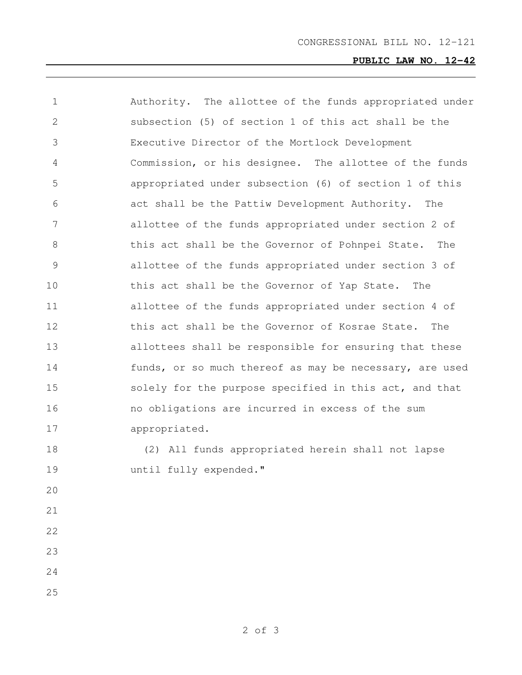$\mathcal{L}^{\text{max}}_{\text{max}}$ 

| $\mathbf 1$    | Authority. The allottee of the funds appropriated under |
|----------------|---------------------------------------------------------|
| 2              | subsection (5) of section 1 of this act shall be the    |
| 3              | Executive Director of the Mortlock Development          |
| 4              | Commission, or his designee. The allottee of the funds  |
| 5              | appropriated under subsection (6) of section 1 of this  |
| 6              | act shall be the Pattiw Development Authority.<br>The   |
| 7              | allottee of the funds appropriated under section 2 of   |
| 8              | this act shall be the Governor of Pohnpei State.<br>The |
| $\overline{9}$ | allottee of the funds appropriated under section 3 of   |
| 10             | this act shall be the Governor of Yap State.<br>The     |
| 11             | allottee of the funds appropriated under section 4 of   |
| 12             | this act shall be the Governor of Kosrae State.<br>The  |
| 13             | allottees shall be responsible for ensuring that these  |
| 14             | funds, or so much thereof as may be necessary, are used |
| 15             | solely for the purpose specified in this act, and that  |
| 16             | no obligations are incurred in excess of the sum        |
| 17             | appropriated.                                           |
| 18             | (2) All funds appropriated herein shall not lapse       |
| 19             | until fully expended."                                  |
| 20             |                                                         |
| 21             |                                                         |
| 22             |                                                         |
| 23             |                                                         |
| 24             |                                                         |
| 25             |                                                         |
|                |                                                         |